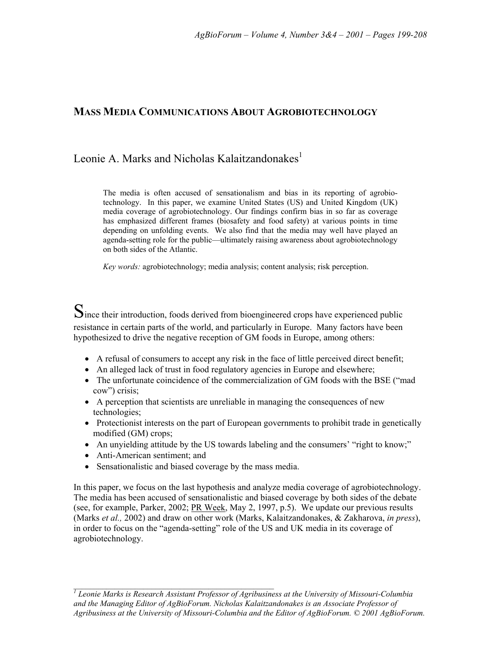# **MASS MEDIA COMMUNICATIONS ABOUT AGROBIOTECHNOLOGY**

# Leonie A. Marks and Nicholas Kalaitzandonakes $<sup>1</sup>$ </sup>

The media is often accused of sensationalism and bias in its reporting of agrobiotechnology. In this paper, we examine United States (US) and United Kingdom (UK) media coverage of agrobiotechnology. Our findings confirm bias in so far as coverage has emphasized different frames (biosafety and food safety) at various points in time depending on unfolding events. We also find that the media may well have played an agenda-setting role for the public—ultimately raising awareness about agrobiotechnology on both sides of the Atlantic.

*Key words:* agrobiotechnology; media analysis; content analysis; risk perception.

Since their introduction, foods derived from bioengineered crops have experienced public resistance in certain parts of the world, and particularly in Europe. Many factors have been hypothesized to drive the negative reception of GM foods in Europe, among others:

- A refusal of consumers to accept any risk in the face of little perceived direct benefit;
- An alleged lack of trust in food regulatory agencies in Europe and elsewhere;
- The unfortunate coincidence of the commercialization of GM foods with the BSE ("mad cow") crisis;
- A perception that scientists are unreliable in managing the consequences of new technologies;
- Protectionist interests on the part of European governments to prohibit trade in genetically modified (GM) crops;
- An unyielding attitude by the US towards labeling and the consumers' "right to know;"
- Anti-American sentiment; and
- Sensationalistic and biased coverage by the mass media.

In this paper, we focus on the last hypothesis and analyze media coverage of agrobiotechnology. The media has been accused of sensationalistic and biased coverage by both sides of the debate (see, for example, Parker, 2002; PR Week, May 2, 1997, p.5). We update our previous results (Marks *et al.,* 2002) and draw on other work (Marks, Kalaitzandonakes, & Zakharova, *in press*), in order to focus on the "agenda-setting" role of the US and UK media in its coverage of agrobiotechnology.

*\_\_\_\_\_\_\_\_\_\_\_\_\_\_\_\_\_\_\_\_\_\_\_\_\_\_\_\_\_\_\_\_\_\_\_\_\_\_\_\_\_\_\_\_\_\_\_\_\_ <sup>1</sup> Leonie Marks is Research Assistant Professor of Agribusiness at the University of Missouri-Columbia and the Managing Editor of AgBioForum. Nicholas Kalaitzandonakes is an Associate Professor of Agribusiness at the University of Missouri-Columbia and the Editor of AgBioForum. © 2001 AgBioForum.*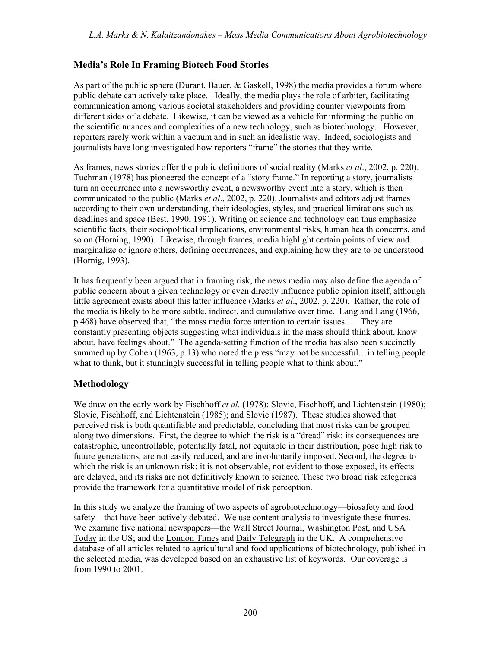# **Mediaís Role In Framing Biotech Food Stories**

As part of the public sphere (Durant, Bauer, & Gaskell, 1998) the media provides a forum where public debate can actively take place. Ideally, the media plays the role of arbiter, facilitating communication among various societal stakeholders and providing counter viewpoints from different sides of a debate. Likewise, it can be viewed as a vehicle for informing the public on the scientific nuances and complexities of a new technology, such as biotechnology. However, reporters rarely work within a vacuum and in such an idealistic way. Indeed, sociologists and journalists have long investigated how reporters "frame" the stories that they write.

As frames, news stories offer the public definitions of social reality (Marks *et al*., 2002, p. 220). Tuchman (1978) has pioneered the concept of a "story frame." In reporting a story, journalists turn an occurrence into a newsworthy event, a newsworthy event into a story, which is then communicated to the public (Marks *et al*., 2002, p. 220). Journalists and editors adjust frames according to their own understanding, their ideologies, styles, and practical limitations such as deadlines and space (Best, 1990, 1991). Writing on science and technology can thus emphasize scientific facts, their sociopolitical implications, environmental risks, human health concerns, and so on (Horning, 1990). Likewise, through frames, media highlight certain points of view and marginalize or ignore others, defining occurrences, and explaining how they are to be understood (Hornig, 1993).

It has frequently been argued that in framing risk, the news media may also define the agenda of public concern about a given technology or even directly influence public opinion itself, although little agreement exists about this latter influence (Marks *et al*., 2002, p. 220). Rather, the role of the media is likely to be more subtle, indirect, and cumulative over time. Lang and Lang (1966,  $p.468$ ) have observed that, "the mass media force attention to certain issues.... They are constantly presenting objects suggesting what individuals in the mass should think about, know about, have feelings about." The agenda-setting function of the media has also been succinctly summed up by Cohen  $(1963, p.13)$  who noted the press "may not be successful... in telling people what to think, but it stunningly successful in telling people what to think about."

### **Methodology**

We draw on the early work by Fischhoff *et al*. (1978); Slovic, Fischhoff, and Lichtenstein (1980); Slovic, Fischhoff, and Lichtenstein (1985); and Slovic (1987). These studies showed that perceived risk is both quantifiable and predictable, concluding that most risks can be grouped along two dimensions. First, the degree to which the risk is a "dread" risk: its consequences are catastrophic, uncontrollable, potentially fatal, not equitable in their distribution, pose high risk to future generations, are not easily reduced, and are involuntarily imposed. Second, the degree to which the risk is an unknown risk: it is not observable, not evident to those exposed, its effects are delayed, and its risks are not definitively known to science. These two broad risk categories provide the framework for a quantitative model of risk perception.

In this study we analyze the framing of two aspects of agrobiotechnology—biosafety and food safety—that have been actively debated. We use content analysis to investigate these frames. We examine five national newspapers—the Wall Street Journal, Washington Post, and USA Today in the US; and the London Times and Daily Telegraph in the UK. A comprehensive database of all articles related to agricultural and food applications of biotechnology, published in the selected media, was developed based on an exhaustive list of keywords. Our coverage is from 1990 to 2001.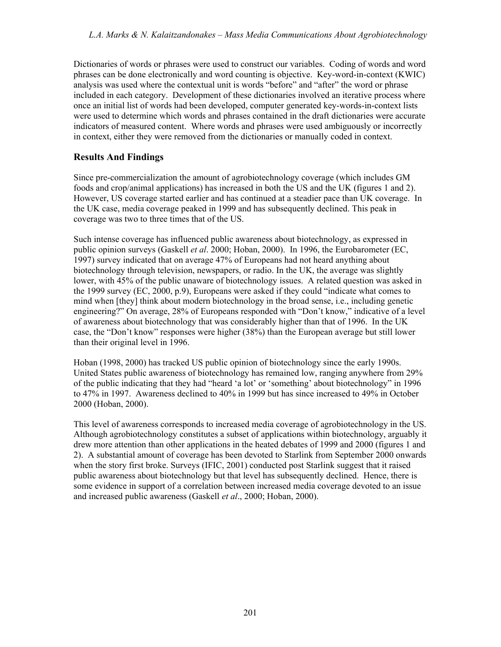Dictionaries of words or phrases were used to construct our variables. Coding of words and word phrases can be done electronically and word counting is objective. Key-word-in-context (KWIC) analysis was used where the contextual unit is words "before" and "after" the word or phrase included in each category. Development of these dictionaries involved an iterative process where once an initial list of words had been developed, computer generated key-words-in-context lists were used to determine which words and phrases contained in the draft dictionaries were accurate indicators of measured content. Where words and phrases were used ambiguously or incorrectly in context, either they were removed from the dictionaries or manually coded in context.

# **Results And Findings**

Since pre-commercialization the amount of agrobiotechnology coverage (which includes GM foods and crop/animal applications) has increased in both the US and the UK (figures 1 and 2). However, US coverage started earlier and has continued at a steadier pace than UK coverage. In the UK case, media coverage peaked in 1999 and has subsequently declined. This peak in coverage was two to three times that of the US.

Such intense coverage has influenced public awareness about biotechnology, as expressed in public opinion surveys (Gaskell *et al*. 2000; Hoban, 2000). In 1996, the Eurobarometer (EC, 1997) survey indicated that on average 47% of Europeans had not heard anything about biotechnology through television, newspapers, or radio. In the UK, the average was slightly lower, with 45% of the public unaware of biotechnology issues. A related question was asked in the 1999 survey (EC, 2000, p.9), Europeans were asked if they could "indicate what comes to mind when [they] think about modern biotechnology in the broad sense, i.e., including genetic engineering?" On average, 28% of Europeans responded with "Don't know," indicative of a level of awareness about biotechnology that was considerably higher than that of 1996. In the UK case, the "Don't know" responses were higher (38%) than the European average but still lower than their original level in 1996.

Hoban (1998, 2000) has tracked US public opinion of biotechnology since the early 1990s. United States public awareness of biotechnology has remained low, ranging anywhere from 29% of the public indicating that they had "heard 'a lot' or 'something' about biotechnology" in 1996 to 47% in 1997. Awareness declined to 40% in 1999 but has since increased to 49% in October 2000 (Hoban, 2000).

This level of awareness corresponds to increased media coverage of agrobiotechnology in the US. Although agrobiotechnology constitutes a subset of applications within biotechnology, arguably it drew more attention than other applications in the heated debates of 1999 and 2000 (figures 1 and 2). A substantial amount of coverage has been devoted to Starlink from September 2000 onwards when the story first broke. Surveys (IFIC, 2001) conducted post Starlink suggest that it raised public awareness about biotechnology but that level has subsequently declined. Hence, there is some evidence in support of a correlation between increased media coverage devoted to an issue and increased public awareness (Gaskell *et al*., 2000; Hoban, 2000).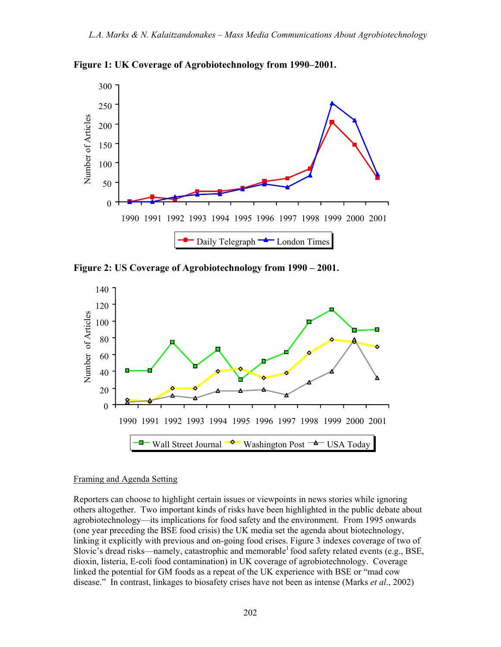



Figure 2: US Coverage of Agrobiotechnology from 1990 – 2001.



#### Framing and Agenda Setting

Reporters can choose to highlight certain issues or viewpoints in news stories while ignoring others altogether. Two important kinds of risks have been highlighted in the public debate about agrobiotechnology—its implications for food safety and the environment. From 1995 onwards (one year preceding the BSE food crisis) the UK media set the agenda about biotechnology, linking it explicitly with previous and on-going food crises. Figure 3 indexes coverage of two of Slovic's dread risks—namely, catastrophic and memorable<sup>1</sup> food safety related events (e.g., BSE, dioxin, listeria, E-coli food contamination) in UK coverage of agrobiotechnology. Coverage linked the potential for GM foods as a repeat of the UK experience with BSE or "mad cow disease.<sup>"</sup> In contrast, linkages to biosafety crises have not been as intense (Marks *et al.*, 2002)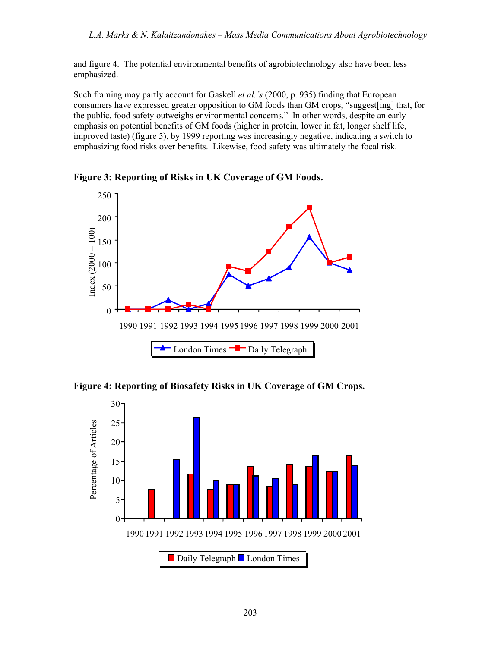and figure 4. The potential environmental benefits of agrobiotechnology also have been less emphasized.

Such framing may partly account for Gaskell *et al. s* (2000, p. 935) finding that European consumers have expressed greater opposition to GM foods than GM crops, "suggest [ing] that, for the public, food safety outweighs environmental concerns." In other words, despite an early emphasis on potential benefits of GM foods (higher in protein, lower in fat, longer shelf life, improved taste) (figure 5), by 1999 reporting was increasingly negative, indicating a switch to emphasizing food risks over benefits. Likewise, food safety was ultimately the focal risk.

250 200  $Index (2000 = 100)$ Index  $(2000 = 100)$ 150 100 50 0 1990 1991 1992 1993 1994 1995 1996 1997 1998 1999 2000 2001 - London Times  $\blacksquare$  - Daily Telegraph

**Figure 3: Reporting of Risks in UK Coverage of GM Foods.** 

**Figure 4: Reporting of Biosafety Risks in UK Coverage of GM Crops.**

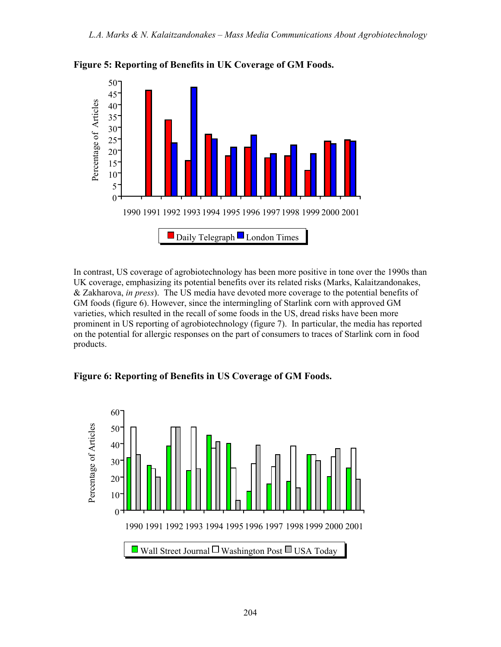

**Figure 5: Reporting of Benefits in UK Coverage of GM Foods.**

In contrast, US coverage of agrobiotechnology has been more positive in tone over the 1990s than UK coverage, emphasizing its potential benefits over its related risks (Marks, Kalaitzandonakes, & Zakharova, *in press*). The US media have devoted more coverage to the potential benefits of GM foods (figure 6). However, since the intermingling of Starlink corn with approved GM varieties, which resulted in the recall of some foods in the US, dread risks have been more prominent in US reporting of agrobiotechnology (figure 7). In particular, the media has reported on the potential for allergic responses on the part of consumers to traces of Starlink corn in food products.

**Figure 6: Reporting of Benefits in US Coverage of GM Foods.** 

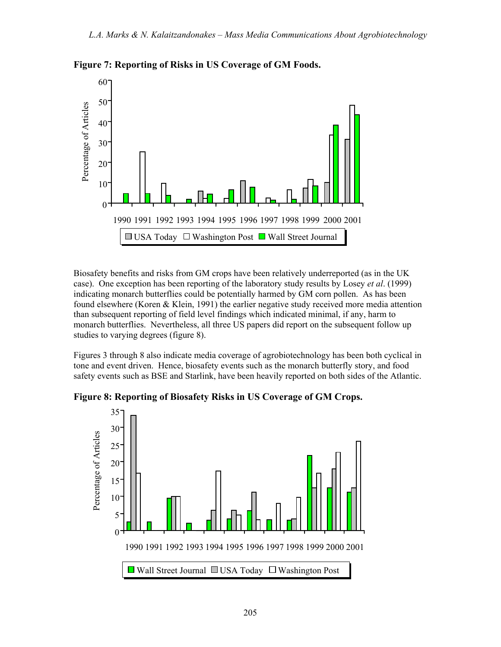

**Figure 7: Reporting of Risks in US Coverage of GM Foods.**

Biosafety benefits and risks from GM crops have been relatively underreported (as in the UK case). One exception has been reporting of the laboratory study results by Losey *et al*. (1999) indicating monarch butterflies could be potentially harmed by GM corn pollen. As has been found elsewhere (Koren & Klein, 1991) the earlier negative study received more media attention than subsequent reporting of field level findings which indicated minimal, if any, harm to monarch butterflies. Nevertheless, all three US papers did report on the subsequent follow up studies to varying degrees (figure 8).

Figures 3 through 8 also indicate media coverage of agrobiotechnology has been both cyclical in tone and event driven. Hence, biosafety events such as the monarch butterfly story, and food safety events such as BSE and Starlink, have been heavily reported on both sides of the Atlantic.

**Figure 8: Reporting of Biosafety Risks in US Coverage of GM Crops.** 

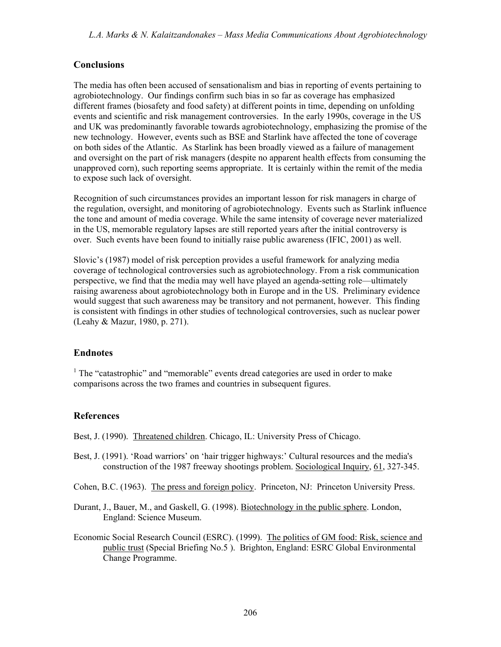#### **Conclusions**

The media has often been accused of sensationalism and bias in reporting of events pertaining to agrobiotechnology. Our findings confirm such bias in so far as coverage has emphasized different frames (biosafety and food safety) at different points in time, depending on unfolding events and scientific and risk management controversies. In the early 1990s, coverage in the US and UK was predominantly favorable towards agrobiotechnology, emphasizing the promise of the new technology. However, events such as BSE and Starlink have affected the tone of coverage on both sides of the Atlantic. As Starlink has been broadly viewed as a failure of management and oversight on the part of risk managers (despite no apparent health effects from consuming the unapproved corn), such reporting seems appropriate. It is certainly within the remit of the media to expose such lack of oversight.

Recognition of such circumstances provides an important lesson for risk managers in charge of the regulation, oversight, and monitoring of agrobiotechnology. Events such as Starlink influence the tone and amount of media coverage. While the same intensity of coverage never materialized in the US, memorable regulatory lapses are still reported years after the initial controversy is over. Such events have been found to initially raise public awareness (IFIC, 2001) as well.

Slovic's (1987) model of risk perception provides a useful framework for analyzing media coverage of technological controversies such as agrobiotechnology. From a risk communication perspective, we find that the media may well have played an agenda-setting role—ultimately raising awareness about agrobiotechnology both in Europe and in the US. Preliminary evidence would suggest that such awareness may be transitory and not permanent, however. This finding is consistent with findings in other studies of technological controversies, such as nuclear power (Leahy & Mazur, 1980, p. 271).

#### **Endnotes**

<sup>1</sup> The "catastrophic" and "memorable" events dread categories are used in order to make comparisons across the two frames and countries in subsequent figures.

#### **References**

Best, J. (1990). Threatened children. Chicago, IL: University Press of Chicago.

- Best, J. (1991). 'Road warriors' on 'hair trigger highways:' Cultural resources and the media's construction of the 1987 freeway shootings problem. Sociological Inquiry, 61, 327-345.
- Cohen, B.C. (1963). The press and foreign policy. Princeton, NJ: Princeton University Press.
- Durant, J., Bauer, M., and Gaskell, G. (1998). Biotechnology in the public sphere. London, England: Science Museum.
- Economic Social Research Council (ESRC). (1999). The politics of GM food: Risk, science and public trust (Special Briefing No.5 ). Brighton, England: ESRC Global Environmental Change Programme.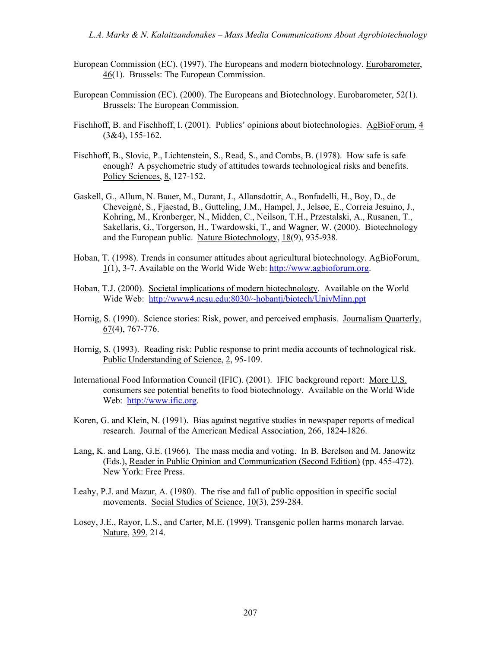- European Commission (EC). (1997). The Europeans and modern biotechnology. Eurobarometer, 46(1). Brussels: The European Commission.
- European Commission (EC). (2000). The Europeans and Biotechnology. Eurobarometer, 52(1). Brussels: The European Commission.
- Fischhoff, B. and Fischhoff, I. (2001). Publics' opinions about biotechnologies. AgBioForum, 4 (3&4), 155-162.
- Fischhoff, B., Slovic, P., Lichtenstein, S., Read, S., and Combs, B. (1978). How safe is safe enough? A psychometric study of attitudes towards technological risks and benefits. Policy Sciences, 8, 127-152.
- Gaskell, G., Allum, N. Bauer, M., Durant, J., Allansdottir, A., Bonfadelli, H., Boy, D., de Cheveigné, S., Fjaestad, B., Gutteling, J.M., Hampel, J., Jelsøe, E., Correia Jesuino, J., Kohring, M., Kronberger, N., Midden, C., Neilson, T.H., Przestalski, A., Rusanen, T., Sakellaris, G., Torgerson, H., Twardowski, T., and Wagner, W. (2000). Biotechnology and the European public. Nature Biotechnology, 18(9), 935-938.
- Hoban, T. (1998). Trends in consumer attitudes about agricultural biotechnology. AgBioForum, 1(1), 3-7. Available on the World Wide Web: http://www.agbioforum.org.
- Hoban, T.J. (2000). Societal implications of modern biotechnology. Available on the World Wide Web: http://www4.ncsu.edu:8030/~hobantj/biotech/UnivMinn.ppt
- Hornig, S. (1990). Science stories: Risk, power, and perceived emphasis. Journalism Quarterly, 67(4), 767-776.
- Hornig, S. (1993). Reading risk: Public response to print media accounts of technological risk. Public Understanding of Science, 2, 95-109.
- International Food Information Council (IFIC). (2001). IFIC background report: More U.S. consumers see potential benefits to food biotechnology. Available on the World Wide Web: http://www.ific.org.
- Koren, G. and Klein, N. (1991). Bias against negative studies in newspaper reports of medical research. Journal of the American Medical Association, 266, 1824-1826.
- Lang, K. and Lang, G.E. (1966). The mass media and voting. In B. Berelson and M. Janowitz (Eds.), Reader in Public Opinion and Communication (Second Edition) (pp. 455-472). New York: Free Press.
- Leahy, P.J. and Mazur, A. (1980). The rise and fall of public opposition in specific social movements. Social Studies of Science, 10(3), 259-284.
- Losey, J.E., Rayor, L.S., and Carter, M.E. (1999). Transgenic pollen harms monarch larvae. Nature, 399, 214.